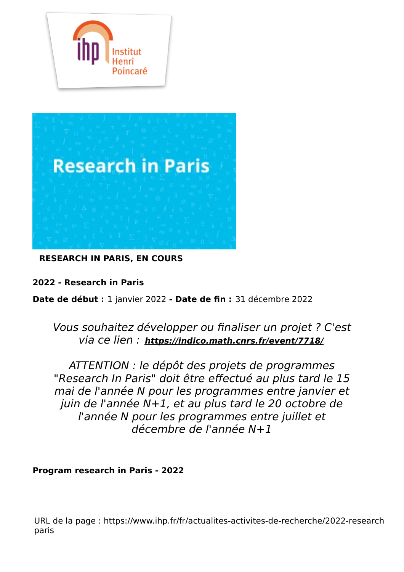



**RESEARCH IN PARIS, EN COURS**

**2022 - Research in Paris**

**Date de début :** 1 janvier 2022 **- Date de fin :** 31 décembre 2022

# Vous souhaitez développer ou finaliser un projet ? C'est via ce lien : **<https://indico.math.cnrs.fr/event/7718/>**

ATTENTION : le dépôt des projets de programmes "Research In Paris" doit être effectué au plus tard le 15 mai de l'année N pour les programmes entre janvier et juin de l'année N+1, et au plus tard le 20 octobre de l'année N pour les programmes entre juillet et décembre de l'année N+1

**Program research in Paris - 2022**

URL de la page : https://www.ihp.fr/fr/actualites-activites-de-recherche/2022-researchparis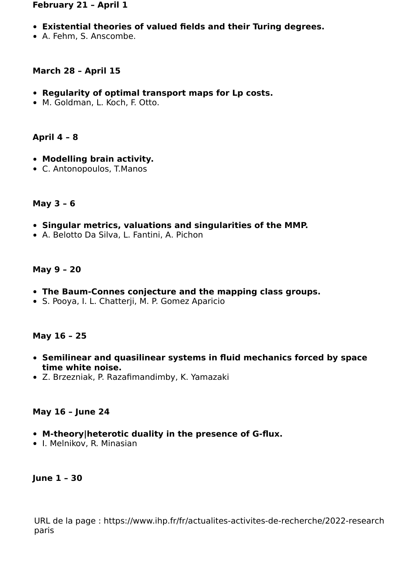#### **February 21 – April 1**

- **Existential theories of valued fields and their Turing degrees.**
- A. Fehm, S. Anscombe.

#### **March 28 – April 15**

- **Regularity of optimal transport maps for Lp costs.**
- M. Goldman, L. Koch, F. Otto.

#### **April 4 – 8**

- **Modelling brain activity.**
- C. Antonopoulos, T.Manos

#### **May 3 – 6**

- **Singular metrics, valuations and singularities of the MMP.**
- A. Belotto Da Silva, L. Fantini, A. Pichon

#### **May 9 – 20**

- **The Baum-Connes conjecture and the mapping class groups.**
- S. Pooya, I. L. Chatterji, M. P. Gomez Aparicio

#### **May 16 – 25**

- **Semilinear and quasilinear systems in fluid mechanics forced by space time white noise.**
- Z. Brzezniak, P. Razafimandimby, K. Yamazaki

#### **May 16 – June 24**

- **M-theory|heterotic duality in the presence of G-flux.**
- I. Melnikov, R. Minasian

#### **June 1 – 30**

URL de la page : https://www.ihp.fr/fr/actualites-activites-de-recherche/2022-researchparis